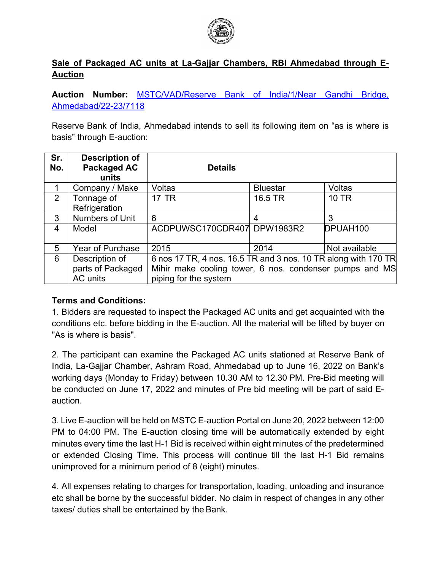

## **Sale of Packaged AC units at La-Gajjar Chambers, RBI Ahmedabad through E-Auction**

**Auction Number:** [MSTC/VAD/Reserve Bank of India/1/Near Gandhi Bridge,](https://www.mstcindia.co.in/TenderEntry/Lot_Item_Details_AucID.aspx?ARID=332739)  [Ahmedabad/22-23/7118](https://www.mstcindia.co.in/TenderEntry/Lot_Item_Details_AucID.aspx?ARID=332739)

Reserve Bank of India, Ahmedabad intends to sell its following item on "as is where is basis" through E-auction:

| Sr.<br>No. | <b>Description of</b><br><b>Packaged AC</b><br>units | <b>Details</b>                                                 |                 |               |
|------------|------------------------------------------------------|----------------------------------------------------------------|-----------------|---------------|
| 1          | Company / Make                                       | <b>Voltas</b>                                                  | <b>Bluestar</b> | <b>Voltas</b> |
| 2          | Tonnage of<br>Refrigeration                          | <b>17 TR</b>                                                   | 16.5 TR         | <b>10 TR</b>  |
| 3          | Numbers of Unit                                      | 6                                                              | 4               | 3             |
| 4          | Model                                                | ACDPUWSC170CDR407 DPW1983R2                                    |                 | DPUAH100      |
| 5          | Year of Purchase                                     | 2015                                                           | 2014            | Not available |
| 6          | Description of                                       | 6 nos 17 TR, 4 nos. 16.5 TR and 3 nos. 10 TR along with 170 TR |                 |               |
|            | parts of Packaged                                    | Mihir make cooling tower, 6 nos. condenser pumps and MS        |                 |               |
|            | AC units                                             | piping for the system                                          |                 |               |

## **Terms and Conditions:**

1. Bidders are requested to inspect the Packaged AC units and get acquainted with the conditions etc. before bidding in the E-auction. All the material will be lifted by buyer on "As is where is basis".

2. The participant can examine the Packaged AC units stationed at Reserve Bank of India, La-Gajjar Chamber, Ashram Road, Ahmedabad up to June 16, 2022 on Bank's working days (Monday to Friday) between 10.30 AM to 12.30 PM. Pre-Bid meeting will be conducted on June 17, 2022 and minutes of Pre bid meeting will be part of said Eauction.

3. Live E-auction will be held on MSTC E-auction Portal on June 20, 2022 between 12:00 PM to 04:00 PM. The E-auction closing time will be automatically extended by eight minutes every time the last H-1 Bid is received within eight minutes of the predetermined or extended Closing Time. This process will continue till the last H-1 Bid remains unimproved for a minimum period of 8 (eight) minutes.

4. All expenses relating to charges for transportation, loading, unloading and insurance etc shall be borne by the successful bidder. No claim in respect of changes in any other taxes/ duties shall be entertained by the Bank.